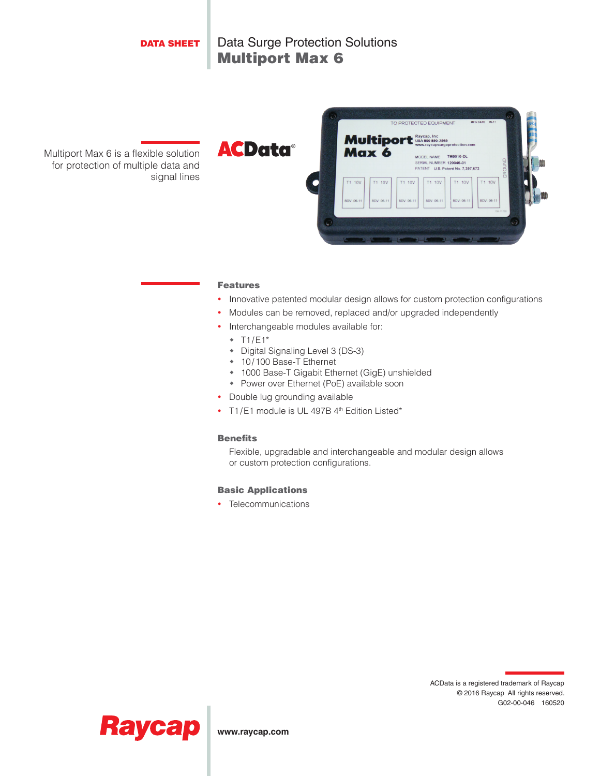

#### Features

- Innovative patented modular design allows for custom protection configurations
- Modules can be removed, replaced and/or upgraded independently
- Interchangeable modules available for:
	- $\cdot$  T1/E1\*
	- Digital Signaling Level 3 (DS-3)
	- 10/100 Base-T Ethernet
	- 1000 Base-T Gigabit Ethernet (GigE) unshielded
	- Power over Ethernet (PoE) available soon
- Double lug grounding available
- T1/E1 module is UL 497B 4<sup>th</sup> Edition Listed\*

### **Benefits**

Flexible, upgradable and interchangeable and modular design allows or custom protection configurations.

### Basic Applications

• Telecommunications





**www.raycap.com**